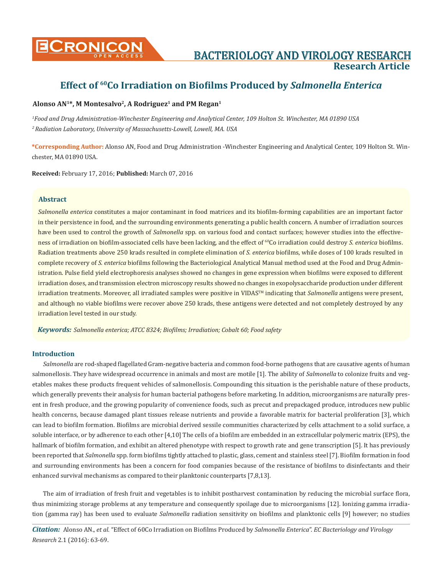

# **Research Article**

# **Effect of 60Co Irradiation on Biofilms Produced by** *Salmonella Enterica*

# **Alonso AN1\*, M Montesalvo2, A Rodriguez1 and PM Regan1**

*1 Food and Drug Administration-Winchester Engineering and Analytical Center, 109 Holton St. Winchester, MA 01890 USA 2 Radiation Laboratory, University of Massachusetts-Lowell, Lowell, MA. USA*

**\*Corresponding Author:** Alonso AN, Food and Drug Administration -Winchester Engineering and Analytical Center, 109 Holton St. Winchester, MA 01890 USA.

**Received:** February 17, 2016; **Published:** March 07, 2016

# **Abstract**

*Salmonella enterica* constitutes a major contaminant in food matrices and its biofilm-forming capabilities are an important factor in their persistence in food, and the surrounding environments generating a public health concern. A number of irradiation sources have been used to control the growth of *Salmonella* spp. on various food and contact surfaces; however studies into the effectiveness of irradiation on biofilm-associated cells have been lacking, and the effect of <sup>60</sup>Co irradiation could destroy *S. enterica* biofilms. Radiation treatments above 250 krads resulted in complete elimination of *S. enterica* biofilms, while doses of 100 krads resulted in complete recovery of *S. enterica* biofilms following the Bacteriological Analytical Manual method used at the Food and Drug Administration. Pulse field yield electrophoresis analyses showed no changes in gene expression when biofilms were exposed to different irradiation doses, and transmission electron microscopy results showed no changes in exopolysaccharide production under different irradiation treatments. Moreover, all irradiated samples were positive in VIDAS<sup>TM</sup> indicating that *Salmonella* antigens were present, and although no viable biofilms were recover above 250 krads, these antigens were detected and not completely destroyed by any irradiation level tested in our study.

*Keywords: Salmonella enterica; ATCC 8324; Biofilms; Irradiation; Cobalt 60; Food safety*

# **Introduction**

*Salmonella* are rod-shaped flagellated Gram-negative bacteria and common food-borne pathogens that are causative agents of human salmonellosis. They have widespread occurrence in animals and most are motile [1]. The ability of *Salmonella* to colonize fruits and vegetables makes these products frequent vehicles of salmonellosis. Compounding this situation is the perishable nature of these products, which generally prevents their analysis for human bacterial pathogens before marketing. In addition, microorganisms are naturally present in fresh produce, and the growing popularity of convenience foods, such as precut and prepackaged produce, introduces new public health concerns, because damaged plant tissues release nutrients and provide a favorable matrix for bacterial proliferation [3], which can lead to biofilm formation. Biofilms are microbial derived sessile communities characterized by cells attachment to a solid surface, a soluble interface, or by adherence to each other [4,10] The cells of a biofilm are embedded in an extracellular polymeric matrix (EPS), the hallmark of biofilm formation, and exhibit an altered phenotype with respect to growth rate and gene transcription [5]. It has previously been reported that *Salmonella* spp. form biofilms tightly attached to plastic, glass, cement and stainless steel [7]. Biofilm formation in food and surrounding environments has been a concern for food companies because of the resistance of biofilms to disinfectants and their enhanced survival mechanisms as compared to their planktonic counterparts [7,8,13].

The aim of irradiation of fresh fruit and vegetables is to inhibit postharvest contamination by reducing the microbial surface flora, thus minimizing storage problems at any temperature and consequently spoilage due to microorganisms [12]. Ionizing gamma irradiation (gamma ray) has been used to evaluate *Salmonella* radiation sensitivity on biofilms and planktonic cells [9] however; no studies

*Citation:* Alonso AN., *et al*. "Effect of 60Co Irradiation on Biofilms Produced by *Salmonella Enterica*". *EC Bacteriology and Virology Research* 2.1 (2016): 63-69.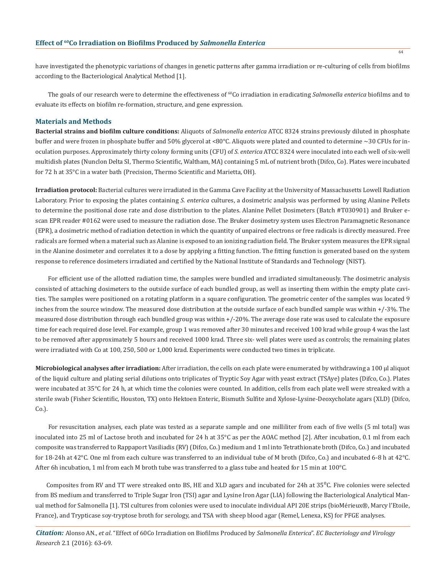have investigated the phenotypic variations of changes in genetic patterns after gamma irradiation or re-culturing of cells from biofilms according to the Bacteriological Analytical Method [1].

 The goals of our research were to determine the effectiveness of 60Co irradiation in eradicating *Salmonella enterica* biofilms and to evaluate its effects on biofilm re-formation, structure, and gene expression.

#### **Materials and Methods**

**Bacterial strains and biofilm culture conditions:** Aliquots of *Salmonella enterica* ATCC 8324 strains previously diluted in phosphate buffer and were frozen in phosphate buffer and 50% glycerol at <80°C. Aliquots were plated and counted to determine ~30 CFUs for inoculation purposes. Approximately thirty colony forming units (CFU) of *S. enterica* ATCC 8324 were inoculated into each well of six-well multidish plates (Nunclon Delta SI, Thermo Scientific, Waltham, MA) containing 5 mL of nutrient broth (Difco, Co). Plates were incubated for 72 h at 35°C in a water bath (Precision, Thermo Scientific and Marietta, OH).

**Irradiation protocol:** Bacterial cultures were irradiated in the Gamma Cave Facility at the University of Massachusetts Lowell Radiation Laboratory. Prior to exposing the plates containing *S. enterica* cultures, a dosimetric analysis was performed by using Alanine Pellets to determine the positional dose rate and dose distribution to the plates. Alanine Pellet Dosimeters (Batch #T030901) and Bruker escan EPR reader #0162 were used to measure the radiation dose. The Bruker dosimetry system uses Electron Paramagnetic Resonance (EPR), a dosimetric method of radiation detection in which the quantity of unpaired electrons or free radicals is directly measured. Free radicals are formed when a material such as Alanine is exposed to an ionizing radiation field. The Bruker system measures the EPR signal in the Alanine dosimeter and correlates it to a dose by applying a fitting function. The fitting function is generated based on the system response to reference dosimeters irradiated and certified by the National Institute of Standards and Technology (NIST).

 For efficient use of the allotted radiation time, the samples were bundled and irradiated simultaneously. The dosimetric analysis consisted of attaching dosimeters to the outside surface of each bundled group, as well as inserting them within the empty plate cavities. The samples were positioned on a rotating platform in a square configuration. The geometric center of the samples was located 9 inches from the source window. The measured dose distribution at the outside surface of each bundled sample was within +/-3%. The measured dose distribution through each bundled group was within +/-20%. The average dose rate was used to calculate the exposure time for each required dose level. For example, group 1 was removed after 30 minutes and received 100 krad while group 4 was the last to be removed after approximately 5 hours and received 1000 krad. Three six- well plates were used as controls; the remaining plates were irradiated with Co at 100, 250, 500 or 1,000 krad. Experiments were conducted two times in triplicate.

**Microbiological analyses after irradiation:** After irradiation, the cells on each plate were enumerated by withdrawing a 100 μl aliquot of the liquid culture and plating serial dilutions onto triplicates of Tryptic Soy Agar with yeast extract (TSAye) plates (Difco, Co.). Plates were incubated at 35°C for 24 h, at which time the colonies were counted. In addition, cells from each plate well were streaked with a sterile swab (Fisher Scientific, Houston, TX) onto Hektoen Enteric, Bismuth Sulfite and Xylose-Lysine-Deoxycholate agars (XLD) (Difco, Co.).

 For resuscitation analyses, each plate was tested as a separate sample and one milliliter from each of five wells (5 ml total) was inoculated into 25 ml of Lactose broth and incubated for 24 h at 35°C as per the AOAC method [2]. After incubation, 0.1 ml from each composite was transferred to Rappaport Vasiliadis (RV) (Difco, Co.) medium and 1 ml into Tetrathionate broth (Difco, Co.) and incubated for 18-24h at 42°C. One ml from each culture was transferred to an individual tube of M broth (Difco, Co.) and incubated 6-8 h at 42°C. After 6h incubation, 1 ml from each M broth tube was transferred to a glass tube and heated for 15 min at 100°C.

Composites from RV and TT were streaked onto BS, HE and XLD agars and incubated for 24h at 35<sup>o</sup>C. Five colonies were selected from BS medium and transferred to Triple Sugar Iron (TSI) agar and Lysine Iron Agar (LIA) following the Bacteriological Analytical Manual method for Salmonella [1]. TSI cultures from colonies were used to inoculate individual API 20E strips (bioMérieux®, Marcy l'Etoile, France), and Trypticase soy-tryptose broth for serology, and TSA with sheep blood agar (Remel, Lenexa, KS) for PFGE analyses.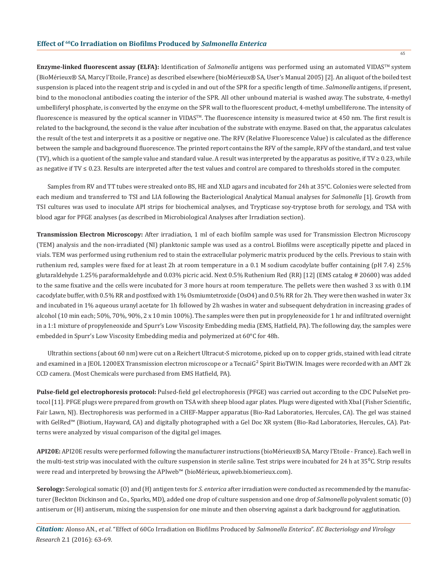**Enzyme-linked fluorescent assay (ELFA):** Identification of *Salmonella* antigens was performed using an automated VIDAS<sup>TM</sup> system (BioMérieux® SA, Marcy l'Etoile, France) as described elsewhere (bioMérieux® SA, User's Manual 2005) [2]. An aliquot of the boiled test suspension is placed into the reagent strip and is cycled in and out of the SPR for a specific length of time. *Salmonella* antigens, if present, bind to the monoclonal antibodies coating the interior of the SPR. All other unbound material is washed away. The substrate, 4-methyl umbelliferyl phosphate, is converted by the enzyme on the SPR wall to the fluorescent product, 4-methyl umbelliferone. The intensity of fluorescence is measured by the optical scanner in VIDAS™. The fluorescence intensity is measured twice at 450 nm. The first result is related to the background, the second is the value after incubation of the substrate with enzyme. Based on that, the apparatus calculates the result of the test and interprets it as a positive or negative one. The RFV (Relative Fluorescence Value) is calculated as the difference between the sample and background fluorescence. The printed report contains the RFV of the sample, RFV of the standard, and test value (TV), which is a quotient of the sample value and standard value. A result was interpreted by the apparatus as positive, if TV  $\geq 0.23$ , while as negative if TV ≤ 0.23. Results are interpreted after the test values and control are compared to thresholds stored in the computer.

Samples from RV and TT tubes were streaked onto BS, HE and XLD agars and incubated for 24h at 35°C. Colonies were selected from each medium and transferred to TSI and LIA following the Bacteriological Analytical Manual analyses for *Salmonella* [1]. Growth from TSI cultures was used to inoculate API strips for biochemical analyses, and Trypticase soy-tryptose broth for serology, and TSA with blood agar for PFGE analyses (as described in Microbiological Analyses after Irradiation section).

**Transmission Electron Microscopy:** After irradiation, 1 ml of each biofilm sample was used for Transmission Electron Microscopy (TEM) analysis and the non-irradiated (NI) planktonic sample was used as a control. Biofilms were asceptically pipette and placed in vials. TEM was performed using ruthenium red to stain the extracellular polymeric matrix produced by the cells. Previous to stain with ruthenium red, samples were fixed for at least 2h at room temperature in a 0.1 M sodium cacodylate buffer containing (pH 7.4) 2.5% glutaraldehyde 1.25% paraformaldehyde and 0.03% picric acid. Next 0.5% Ruthenium Red (RR) [12] (EMS catalog # 20600) was added to the same fixative and the cells were incubated for 3 more hours at room temperature. The pellets were then washed 3 xs with 0.1M cacodylate buffer, with 0.5% RR and postfixed with 1% Osmiumtetroxide (OsO4) and 0.5% RR for 2h. They were then washed in water 3x and incubated in 1% aqueous uranyl acetate for 1h followed by 2h washes in water and subsequent dehydration in increasing grades of alcohol (10 min each; 50%, 70%, 90%, 2 x 10 min 100%). The samples were then put in propyleneoxide for 1 hr and infiltrated overnight in a 1:1 mixture of propyleneoxide and Spurr's Low Viscosity Embedding media (EMS, Hatfield, PA). The following day, the samples were embedded in Spurr's Low Viscosity Embedding media and polymerized at 60°C for 48h.

Ultrathin sections (about 60 nm) were cut on a Reichert Ultracut-S microtome, picked up on to copper grids, stained with lead citrate and examined in a JEOL 1200EX Transmission electron microscope or a TecnaiG<sup>2</sup> Spirit BioTWIN. Images were recorded with an AMT 2k CCD camera. (Most Chemicals were purchased from EMS Hatfield, PA).

**Pulse-field gel electrophoresis protocol:** Pulsed-field gel electrophoresis (PFGE) was carried out according to the CDC PulseNet protocol [11]. PFGE plugs were prepared from growth on TSA with sheep blood agar plates. Plugs were digested with XbaI (Fisher Scientific, Fair Lawn, NJ). Electrophoresis was performed in a CHEF-Mapper apparatus (Bio-Rad Laboratories, Hercules, CA). The gel was stained with GelRed™ (Biotium, Hayward, CA) and digitally photographed with a Gel Doc XR system (Bio-Rad Laboratories, Hercules, CA). Patterns were analyzed by visual comparison of the digital gel images.

**API20E:** API20E results were performed following the manufacturer instructions (bioMérieux® SA, Marcy l'Etoile - France). Each well in the multi-test strip was inoculated with the culture suspension in sterile saline. Test strips were incubated for 24 h at  $35^{\circ}$ C. Strip results were read and interpreted by browsing the APIweb™ (bioMérieux, apiweb.biomerieux.com).

**Serology:** Serological somatic (O) and (H) antigen tests for *S. enterica* after irradiation were conducted as recommended by the manufacturer (Beckton Dickinson and Co., Sparks, MD), added one drop of culture suspension and one drop of *Salmonella* polyvalent somatic (O) antiserum or (H) antiserum, mixing the suspension for one minute and then observing against a dark background for agglutination.

*Citation:* Alonso AN., *et al*. "Effect of 60Co Irradiation on Biofilms Produced by *Salmonella Enterica*". *EC Bacteriology and Virology Research* 2.1 (2016): 63-69.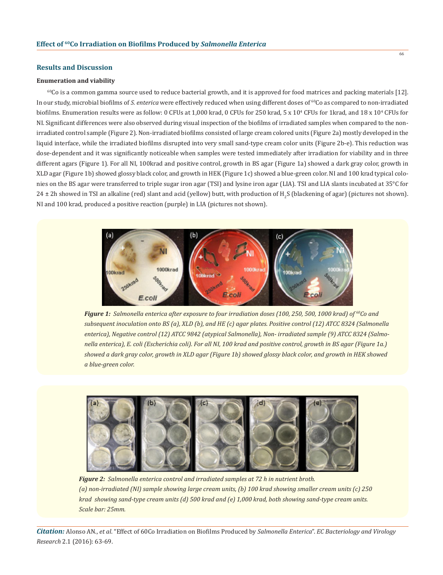# **Results and Discussion**

#### **Enumeration and viability**

 $60C$ o is a common gamma source used to reduce bacterial growth, and it is approved for food matrices and packing materials [12]. In our study, microbial biofilms of *S. enterica* were effectively reduced when using different doses of <sup>60</sup>Co as compared to non-irradiated biofilms. Enumeration results were as follow: 0 CFUs at 1,000 krad, 0 CFUs for 250 krad, 5 x 10<sup>4</sup> CFUs for 1krad, and 18 x 10<sup>4</sup> CFUs for NI. Significant differences were also observed during visual inspection of the biofilms of irradiated samples when compared to the nonirradiated control sample (Figure 2). Non-irradiated biofilms consisted of large cream colored units (Figure 2a) mostly developed in the liquid interface, while the irradiated biofilms disrupted into very small sand-type cream color units (Figure 2b-e). This reduction was dose-dependent and it was significantly noticeable when samples were tested immediately after irradiation for viability and in three different agars (Figure 1). For all NI, 100krad and positive control, growth in BS agar (Figure 1a) showed a dark gray color, growth in XLD agar (Figure 1b) showed glossy black color, and growth in HEK (Figure 1c) showed a blue-green color. NI and 100 krad typical colonies on the BS agar were transferred to triple sugar iron agar (TSI) and lysine iron agar (LIA). TSI and LIA slants incubated at 35°C for 24 ± 2h showed in TSI an alkaline (red) slant and acid (yellow) butt, with production of H<sub>2</sub>S (blackening of agar) (pictures not shown). NI and 100 krad, produced a positive reaction (purple) in LIA (pictures not shown).



*Figure 1: Salmonella enterica after exposure to four irradiation doses (100, 250, 500, 1000 krad) of <sup>60</sup>Co and subsequent inoculation onto BS (a), XLD (b), and HE (c) agar plates. Positive control (12) ATCC 8324 (Salmonella enterica), Negative control (12) ATCC 9842 (atypical Salmonella), Non- irradiated sample (9) ATCC 8324 (Salmonella enterica), E. coli (Escherichia coli). For all NI, 100 krad and positive control, growth in BS agar (Figure 1a.) showed a dark gray color, growth in XLD agar (Figure 1b) showed glossy black color, and growth in HEK showed a blue-green color.*



*Figure 2: Salmonella enterica control and irradiated samples at 72 h in nutrient broth. (a) non-irradiated (NI) sample showing large cream units, (b) 100 krad showing smaller cream units (c) 250 krad showing sand-type cream units (d) 500 krad and (e) 1,000 krad, both showing sand-type cream units. Scale bar: 25mm.*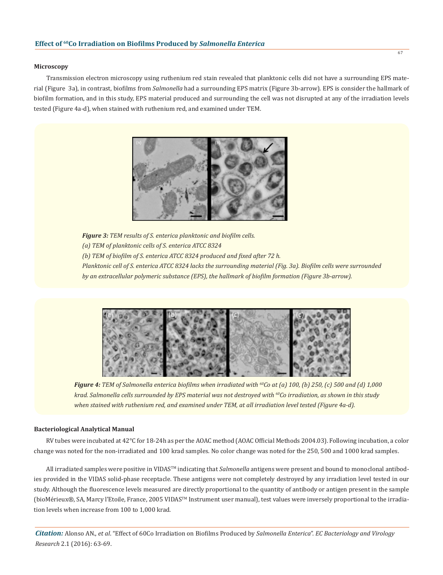#### **Microscopy**

 Transmission electron microscopy using ruthenium red stain revealed that planktonic cells did not have a surrounding EPS material (Figure 3a), in contrast, biofilms from *Salmonella* had a surrounding EPS matrix (Figure 3b-arrow). EPS is consider the hallmark of biofilm formation, and in this study, EPS material produced and surrounding the cell was not disrupted at any of the irradiation levels tested (Figure 4a-d), when stained with ruthenium red, and examined under TEM.



*Figure 3: TEM results of S. enterica planktonic and biofilm cells. (a) TEM of planktonic cells of S. enterica ATCC 8324 (b) TEM of biofilm of S. enterica ATCC 8324 produced and fixed after 72 h. Planktonic cell of S. enterica ATCC 8324 lacks the surrounding material (Fig. 3a). Biofilm cells were surrounded by an extracellular polymeric substance (EPS), the hallmark of biofilm formation (Figure 3b-arrow).*



*Figure 4: TEM of Salmonella enterica biofilms when irradiated with 60Co at (a) 100, (b) 250, (c) 500 and (d) 1,000 krad. Salmonella cells surrounded by EPS material was not destroyed with <sup>60</sup>Co irradiation, as shown in this study when stained with ruthenium red, and examined under TEM, at all irradiation level tested (Figure 4a-d).* 

# **Bacteriological Analytical Manual**

 RV tubes were incubated at 42°C for 18-24h as per the AOAC method (AOAC Official Methods 2004.03). Following incubation, a color change was noted for the non-irradiated and 100 krad samples. No color change was noted for the 250, 500 and 1000 krad samples.

 All irradiated samples were positive in VIDASTM indicating that *Salmonella* antigens were present and bound to monoclonal antibodies provided in the VIDAS solid-phase receptacle. These antigens were not completely destroyed by any irradiation level tested in our study. Although the fluorescence levels measured are directly proportional to the quantity of antibody or antigen present in the sample (bioMérieux®, SA, Marcy l'Etoile, France, 2005 VIDASTM Instrument user manual), test values were inversely proportional to the irradiation levels when increase from 100 to 1,000 krad.

*Citation:* Alonso AN., *et al*. "Effect of 60Co Irradiation on Biofilms Produced by *Salmonella Enterica*". *EC Bacteriology and Virology Research* 2.1 (2016): 63-69.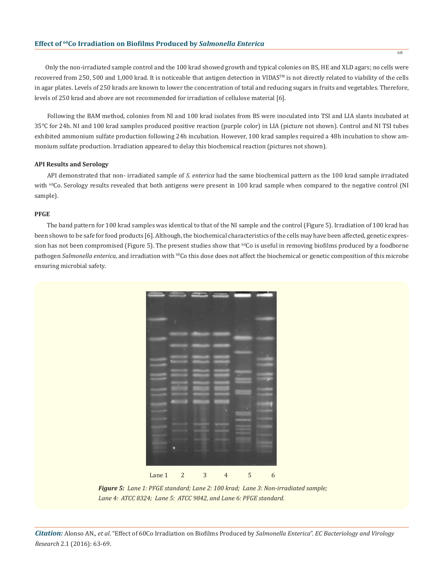Only the non-irradiated sample control and the 100 krad showed growth and typical colonies on BS, HE and XLD agars; no cells were recovered from 250, 500 and 1,000 krad. It is noticeable that antigen detection in VIDAS™ is not directly related to viability of the cells in agar plates. Levels of 250 krads are known to lower the concentration of total and reducing sugars in fruits and vegetables. Therefore, levels of 250 krad and above are not recommended for irradiation of cellulose material [6].

 Following the BAM method, colonies from NI and 100 krad isolates from BS were inoculated into TSI and LIA slants incubated at 35°C for 24h. NI and 100 krad samples produced positive reaction (purple color) in LIA (picture not shown). Control and NI TSI tubes exhibited ammonium sulfate production following 24h incubation. However, 100 krad samples required a 48h incubation to show ammonium sulfate production. Irradiation appeared to delay this biochemical reaction (pictures not shown).

# **API Results and Serology**

 API demonstrated that non- irradiated sample of *S. enterica* had the same biochemical pattern as the 100 krad sample irradiated with <sup>60</sup>Co. Serology results revealed that both antigens were present in 100 krad sample when compared to the negative control (NI sample).

# **PFGE**

 The band pattern for 100 krad samples was identical to that of the NI sample and the control (Figure 5). Irradiation of 100 krad has been shown to be safe for food products [6]. Although, the biochemical characteristics of the cells may have been affected, genetic expression has not been compromised (Figure 5). The present studies show that  $^{60}$ Co is useful in removing biofilms produced by a foodborne pathogen *Salmonella enterica*, and irradiation with <sup>60</sup>Co this dose does not affect the biochemical or genetic composition of this microbe ensuring microbial safety.